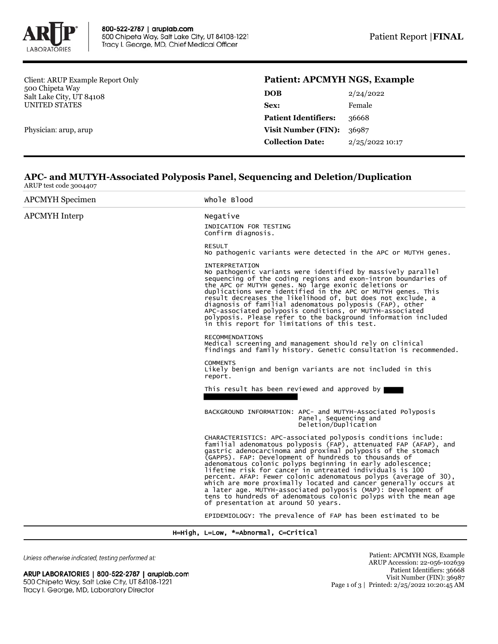

Client: ARUP Example Report Only 500 Chipeta Way Salt Lake City, UT 84108 UNITED STATES

Physician: arup, arup

## **Patient: APCMYH NGS, Example**

| DOB                         | 2/24/2022       |  |
|-----------------------------|-----------------|--|
| Sex:                        | Female          |  |
| <b>Patient Identifiers:</b> | 36668           |  |
| <b>Visit Number (FIN):</b>  | 36987           |  |
| <b>Collection Date:</b>     | 2/25/2022 10:17 |  |
|                             |                 |  |

## **APC- and MUTYH-Associated Polyposis Panel, Sequencing and Deletion/Duplication** ARUP test code 3004407

| <b>APCMYH</b> Specimen | Whole Blood                                                                                                                                                                                                                                                                                                                                                                                                                                                                                                                                                                                                                                                                                              |
|------------------------|----------------------------------------------------------------------------------------------------------------------------------------------------------------------------------------------------------------------------------------------------------------------------------------------------------------------------------------------------------------------------------------------------------------------------------------------------------------------------------------------------------------------------------------------------------------------------------------------------------------------------------------------------------------------------------------------------------|
| <b>APCMYH</b> Interp   | Negative<br>INDICATION FOR TESTING<br>Confirm diagnosis.                                                                                                                                                                                                                                                                                                                                                                                                                                                                                                                                                                                                                                                 |
|                        | <b>RESULT</b><br>No pathogenic variants were detected in the APC or MUTYH genes.                                                                                                                                                                                                                                                                                                                                                                                                                                                                                                                                                                                                                         |
|                        | <b>INTERPRETATION</b><br>No pathogenic variants were identified by massively parallel<br>sequencing of the coding regions and exon-intron boundaries of<br>the APC or MUTYH genes. No large exonic deletions or<br>duplications were identified in the APC or MUTYH genes. This<br>result decreases the likelihood of, but does not exclude, a<br>diagnosis of familial adenomatous polyposis (FAP), other<br>APC-associated polyposis conditions, or MUTYH-associated<br>polyposis. Please refer to the background information included<br>in this report for limitations of this test.                                                                                                                 |
|                        | <b>RECOMMENDATIONS</b><br>Medical screening and management should rely on clinical<br>findings and family history. Genetic consultation is recommended.                                                                                                                                                                                                                                                                                                                                                                                                                                                                                                                                                  |
|                        | <b>COMMENTS</b><br>Likely benign and benign variants are not included in this<br>report.                                                                                                                                                                                                                                                                                                                                                                                                                                                                                                                                                                                                                 |
|                        | This result has been reviewed and approved by                                                                                                                                                                                                                                                                                                                                                                                                                                                                                                                                                                                                                                                            |
|                        | BACKGROUND INFORMATION: APC- and MUTYH-Associated Polyposis<br>Panel, Sequencing and<br>Deletion/Duplication                                                                                                                                                                                                                                                                                                                                                                                                                                                                                                                                                                                             |
|                        | CHARACTERISTICS: APC-associated polyposis conditions include:<br>familial adenomatous polyposis (FAP), attenuated FAP (AFAP), and<br>gastric adenocarcinoma and proximal polyposis of the stomach<br>(GAPPS). FAP: Development of hundreds to thousands of<br>adenomatous colonic polyps beginning in early adolescence;<br>lifetime risk for cancer in untreated individuals is 100<br>percent. AFAP: Fewer colonic adenomatous polyps (average of 30),<br>which are more proximally located and cancer generally occurs at<br>a later age. MUTYH-associated polyposis (MAP): Development of<br>tens to hundreds of adenomatous colonic polyps with the mean age<br>of presentation at around 50 years. |
|                        | EPIDEMIOLOGY: The prevalence of FAP has been estimated to be                                                                                                                                                                                                                                                                                                                                                                                                                                                                                                                                                                                                                                             |

H=High, L=Low, \*=Abnormal, C=Critical

Unless otherwise indicated, testing performed at:

ARUP LABORATORIES | 800-522-2787 | aruplab.com 500 Chipeta Way, Salt Lake City, UT 84108-1221 Tracy I. George, MD, Laboratory Director

Patient: APCMYH NGS, Example ARUP Accession: 22-056-102639 Patient Identifiers: 36668 Visit Number (FIN): 36987 Page 1 of 3 | Printed: 2/25/2022 10:20:45 AM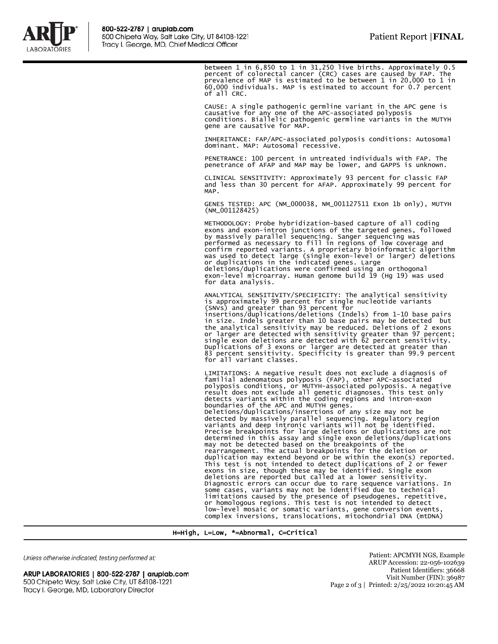

between 1 in 6,850 to 1 in 31,250 live births. Approximately 0.5<br>percent of colorectal cancer (CRC) cases are caused by FAP. The<br>prevalence of MAP is estimated to be between 1 in 20,000 to 1 in<br>60,000 individuals. MAP is e of all CRC.

CAUSE: A single pathogenic germline variant in the APC gene is causative for any one of the APC-associated polyposis conditions. Biallelic pathogenic germline variants in the MUTYH gene are causative for MAP.

INHERITANCE: FAP/APC-associated polyposis conditions: Autosomal dominant. MAP: Autosomal recessive.

PENETRANCE: 100 percent in untreated individuals with FAP. The penetrance of AFAP and MAP may be lower, and GAPPS is unknown.

CLINICAL SENSITIVITY: Approximately 93 percent for classic FAP and less than 30 percent for AFAP. Approximately 99 percent for MAP.

GENES TESTED: APC (NM\_000038, NM\_001127511 Exon 1b only), MUTYH (NM\_001128425)

METHODOLOGY: Probe hybridization-based capture of all coding exons and exon-intron junctions of the targeted genes, followed by massively parallel sequencing. Sanger sequencing was performed as necessary to fill in regions of low coverage and confirm reported variants. A proprietary bioinformatic algorithm<br>was used to detect large (single exon-level or larger) deletions<br>or duplications in the indicated genes. Large<br>deletions/duplications were confirmed using an for data analysis.

ANALYTICAL SENSITIVITY/SPECIFICITY: The analytical sensitivity is approximately 99 percent for single nucleotide variants<br>(SNVs) and greater than 93 percent for<br>insertions/duplications/deletions (Indels) from 1-10 base pairs<br>in size. Indels greater than 10 base pairs may be detected b Duplications of 3 exons or larger are detected at greater than 83 percent sensitivity. Specificity is greater than 99.9 percent for all variant classes.

LIMITATIONS: A negative result does not exclude a diagnosis of familial adenomatous polyposis (FAP), other APC-associated polyposis conditions, or MUTYH-associated polyposis. A negative result does not exclude all genetic diagnoses. This test only detects variants within the coding regions and intron-exon boundaries of the APC and MUTYH genes. Deletions/duplications/insertions of any size may not be detected by massively parallel sequencing. Regulatory region variants and deep intronic variants will not be identified. Precise breakpoints for large deletions or duplications are not determined in this assay and single exon deletions/duplications<br>may not be detected based on the breakpoints of the<br>rearrangement. The actual breakpoints for the deletion or<br>duplication may extend beyond or be within the e This test is not intended to detect duplications of 2 or fewer exons in size, though these may be identified. Single exon deletions are reported but called at a lower sensitivity.<br>Diagnostic errors can occur due to rare sequence variations. In<br>Some cases, variants may not be identified due to technical<br>limitations caused by the presence of ps

H=High, L=Low, \*=Abnormal, C=Critical

Unless otherwise indicated, testing performed at:

ARUP LABORATORIES | 800-522-2787 | aruplab.com 500 Chipeta Way, Salt Lake City, UT 84108-1221 Tracy I. George, MD, Laboratory Director

Patient: APCMYH NGS, Example ARUP Accession: 22-056-102639 Patient Identifiers: 36668 Visit Number (FIN): 36987 Page 2 of 3 | Printed: 2/25/2022 10:20:45 AM